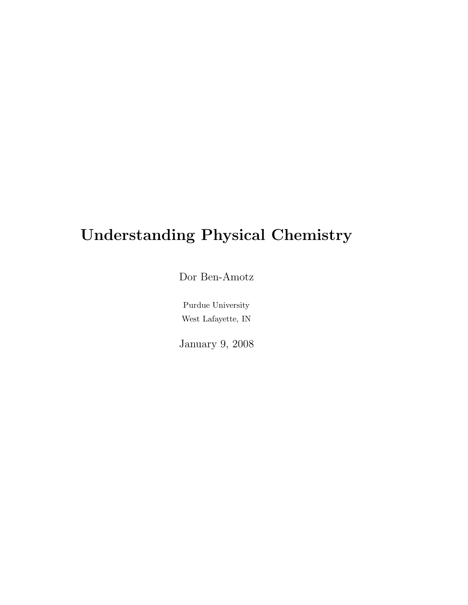# **Understanding Physical Chemistry**

Dor Ben-Amotz

Purdue University West Lafayette, IN

January 9, 2008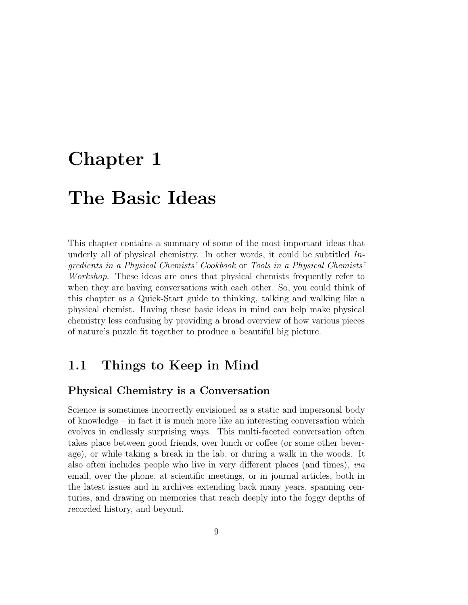# **Chapter 1**

# **The Basic Ideas**

This chapter contains a summary of some of the most important ideas that underly all of physical chemistry. In other words, it could be subtitled Ingredients in a Physical Chemists' Cookbook or Tools in a Physical Chemists' Workshop. These ideas are ones that physical chemists frequently refer to when they are having conversations with each other. So, you could think of this chapter as a Quick-Start guide to thinking, talking and walking like a physical chemist. Having these basic ideas in mind can help make physical chemistry less confusing by providing a broad overview of how various pieces of nature's puzzle fit together to produce a beautiful big picture.

# **1.1 Things to Keep in Mind**

# **Physical Chemistry is a Conversation**

Science is sometimes incorrectly envisioned as a static and impersonal body of knowledge – in fact it is much more like an interesting conversation which evolves in endlessly surprising ways. This multi-faceted conversation often takes place between good friends, over lunch or coffee (or some other beverage), or while taking a break in the lab, or during a walk in the woods. It also often includes people who live in very different places (and times), via email, over the phone, at scientific meetings, or in journal articles, both in the latest issues and in archives extending back many years, spanning centuries, and drawing on memories that reach deeply into the foggy depths of recorded history, and beyond.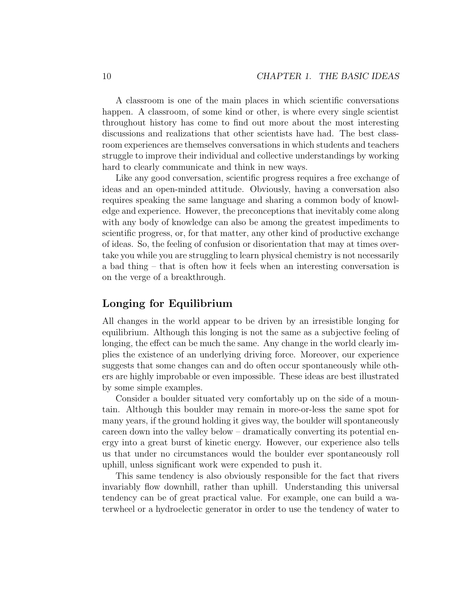A classroom is one of the main places in which scientific conversations happen. A classroom, of some kind or other, is where every single scientist throughout history has come to find out more about the most interesting discussions and realizations that other scientists have had. The best classroom experiences are themselves conversations in which students and teachers struggle to improve their individual and collective understandings by working hard to clearly communicate and think in new ways.

Like any good conversation, scientific progress requires a free exchange of ideas and an open-minded attitude. Obviously, having a conversation also requires speaking the same language and sharing a common body of knowledge and experience. However, the preconceptions that inevitably come along with any body of knowledge can also be among the greatest impediments to scientific progress, or, for that matter, any other kind of productive exchange of ideas. So, the feeling of confusion or disorientation that may at times overtake you while you are struggling to learn physical chemistry is not necessarily a bad thing – that is often how it feels when an interesting conversation is on the verge of a breakthrough.

# **Longing for Equilibrium**

All changes in the world appear to be driven by an irresistible longing for equilibrium. Although this longing is not the same as a subjective feeling of longing, the effect can be much the same. Any change in the world clearly implies the existence of an underlying driving force. Moreover, our experience suggests that some changes can and do often occur spontaneously while others are highly improbable or even impossible. These ideas are best illustrated by some simple examples.

Consider a boulder situated very comfortably up on the side of a mountain. Although this boulder may remain in more-or-less the same spot for many years, if the ground holding it gives way, the boulder will spontaneously careen down into the valley below – dramatically converting its potential energy into a great burst of kinetic energy. However, our experience also tells us that under no circumstances would the boulder ever spontaneously roll uphill, unless significant work were expended to push it.

This same tendency is also obviously responsible for the fact that rivers invariably flow downhill, rather than uphill. Understanding this universal tendency can be of great practical value. For example, one can build a waterwheel or a hydroelectic generator in order to use the tendency of water to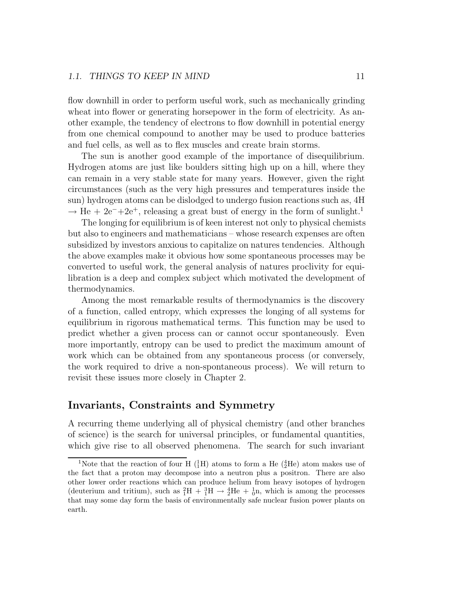### 1.1. THINGS TO KEEP IN MIND 11

flow downhill in order to perform useful work, such as mechanically grinding wheat into flower or generating horsepower in the form of electricity. As another example, the tendency of electrons to flow downhill in potential energy from one chemical compound to another may be used to produce batteries and fuel cells, as well as to flex muscles and create brain storms.

The sun is another good example of the importance of disequilibrium. Hydrogen atoms are just like boulders sitting high up on a hill, where they can remain in a very stable state for many years. However, given the right circumstances (such as the very high pressures and temperatures inside the sun) hydrogen atoms can be dislodged to undergo fusion reactions such as, 4H  $\rightarrow$  He + 2e<sup>-</sup>+2e<sup>+</sup>, releasing a great bust of energy in the form of sunlight.<sup>1</sup>

The longing for equilibrium is of keen interest not only to physical chemists but also to engineers and mathematicians – whose research expenses are often subsidized by investors anxious to capitalize on natures tendencies. Although the above examples make it obvious how some spontaneous processes may be converted to useful work, the general analysis of natures proclivity for equilibration is a deep and complex subject which motivated the development of thermodynamics.

Among the most remarkable results of thermodynamics is the discovery of a function, called entropy, which expresses the longing of all systems for equilibrium in rigorous mathematical terms. This function may be used to predict whether a given process can or cannot occur spontaneously. Even more importantly, entropy can be used to predict the maximum amount of work which can be obtained from any spontaneous process (or conversely, the work required to drive a non-spontaneous process). We will return to revisit these issues more closely in Chapter 2.

### **Invariants, Constraints and Symmetry**

A recurring theme underlying all of physical chemistry (and other branches of science) is the search for universal principles, or fundamental quantities, which give rise to all observed phenomena. The search for such invariant

<sup>&</sup>lt;sup>1</sup>Note that the reaction of four H  $({}^{1}_{1}\text{H})$  atoms to form a He  $({}^{4}_{2}\text{He})$  atom makes use of the fact that a proton may decompose into a neutron plus a positron. There are also other lower order reactions which can produce helium from heavy isotopes of hydrogen (deuterium and tritium), such as  ${}_{1}^{2}H + {}_{1}^{3}H \rightarrow {}_{2}^{4}He + {}_{0}^{1}n$ , which is among the processes that may some day form the basis of environmentally safe nuclear fusion power plants on earth.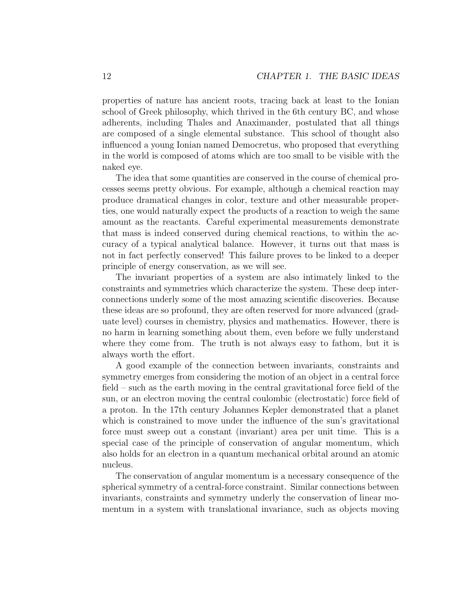properties of nature has ancient roots, tracing back at least to the Ionian school of Greek philosophy, which thrived in the 6th century BC, and whose adherents, including Thales and Anaximander, postulated that all things are composed of a single elemental substance. This school of thought also influenced a young Ionian named Democretus, who proposed that everything in the world is composed of atoms which are too small to be visible with the naked eye.

The idea that some quantities are conserved in the course of chemical processes seems pretty obvious. For example, although a chemical reaction may produce dramatical changes in color, texture and other measurable properties, one would naturally expect the products of a reaction to weigh the same amount as the reactants. Careful experimental measurements demonstrate that mass is indeed conserved during chemical reactions, to within the accuracy of a typical analytical balance. However, it turns out that mass is not in fact perfectly conserved! This failure proves to be linked to a deeper principle of energy conservation, as we will see.

The invariant properties of a system are also intimately linked to the constraints and symmetries which characterize the system. These deep interconnections underly some of the most amazing scientific discoveries. Because these ideas are so profound, they are often reserved for more advanced (graduate level) courses in chemistry, physics and mathematics. However, there is no harm in learning something about them, even before we fully understand where they come from. The truth is not always easy to fathom, but it is always worth the effort.

A good example of the connection between invariants, constraints and symmetry emerges from considering the motion of an object in a central force field – such as the earth moving in the central gravitational force field of the sun, or an electron moving the central coulombic (electrostatic) force field of a proton. In the 17th century Johannes Kepler demonstrated that a planet which is constrained to move under the influence of the sun's gravitational force must sweep out a constant (invariant) area per unit time. This is a special case of the principle of conservation of angular momentum, which also holds for an electron in a quantum mechanical orbital around an atomic nucleus.

The conservation of angular momentum is a necessary consequence of the spherical symmetry of a central-force constraint. Similar connections between invariants, constraints and symmetry underly the conservation of linear momentum in a system with translational invariance, such as objects moving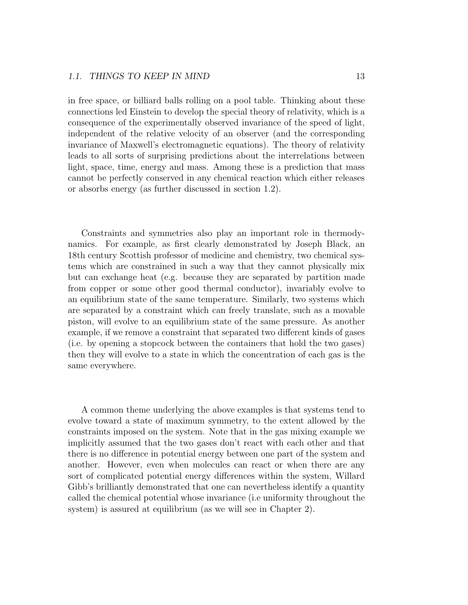### 1.1. THINGS TO KEEP IN MIND 13

in free space, or billiard balls rolling on a pool table. Thinking about these connections led Einstein to develop the special theory of relativity, which is a consequence of the experimentally observed invariance of the speed of light, independent of the relative velocity of an observer (and the corresponding invariance of Maxwell's electromagnetic equations). The theory of relativity leads to all sorts of surprising predictions about the interrelations between light, space, time, energy and mass. Among these is a prediction that mass cannot be perfectly conserved in any chemical reaction which either releases or absorbs energy (as further discussed in section 1.2).

Constraints and symmetries also play an important role in thermodynamics. For example, as first clearly demonstrated by Joseph Black, an 18th century Scottish professor of medicine and chemistry, two chemical systems which are constrained in such a way that they cannot physically mix but can exchange heat (e.g. because they are separated by partition made from copper or some other good thermal conductor), invariably evolve to an equilibrium state of the same temperature. Similarly, two systems which are separated by a constraint which can freely translate, such as a movable piston, will evolve to an equilibrium state of the same pressure. As another example, if we remove a constraint that separated two different kinds of gases (i.e. by opening a stopcock between the containers that hold the two gases) then they will evolve to a state in which the concentration of each gas is the same everywhere.

A common theme underlying the above examples is that systems tend to evolve toward a state of maximum symmetry, to the extent allowed by the constraints imposed on the system. Note that in the gas mixing example we implicitly assumed that the two gases don't react with each other and that there is no difference in potential energy between one part of the system and another. However, even when molecules can react or when there are any sort of complicated potential energy differences within the system, Willard Gibb's brilliantly demonstrated that one can nevertheless identify a quantity called the chemical potential whose invariance (i.e uniformity throughout the system) is assured at equilibrium (as we will see in Chapter 2).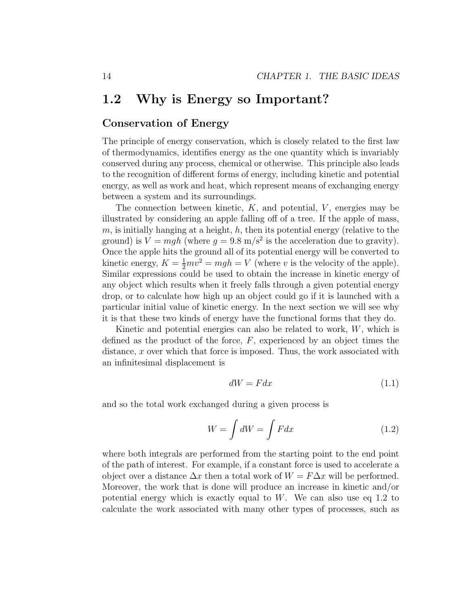# **1.2 Why is Energy so Important?**

## **Conservation of Energy**

The principle of energy conservation, which is closely related to the first law of thermodynamics, identifies energy as the one quantity which is invariably conserved during any process, chemical or otherwise. This principle also leads to the recognition of different forms of energy, including kinetic and potential energy, as well as work and heat, which represent means of exchanging energy between a system and its surroundings.

The connection between kinetic,  $K$ , and potential,  $V$ , energies may be illustrated by considering an apple falling off of a tree. If the apple of mass,  $m$ , is initially hanging at a height,  $h$ , then its potential energy (relative to the ground) is  $V = mgh$  (where  $q = 9.8$  m/s<sup>2</sup> is the acceleration due to gravity). Once the apple hits the ground all of its potential energy will be converted to kinetic energy,  $K = \frac{1}{2}mv^2 = mgh = V$  (where v is the velocity of the apple). Similar expressions could be used to obtain the increase in kinetic energy of any object which results when it freely falls through a given potential energy drop, or to calculate how high up an object could go if it is launched with a particular initial value of kinetic energy. In the next section we will see why it is that these two kinds of energy have the functional forms that they do.

Kinetic and potential energies can also be related to work,  $W$ , which is defined as the product of the force,  $F$ , experienced by an object times the distance, x over which that force is imposed. Thus, the work associated with an infinitesimal displacement is

$$
dW = Fdx \tag{1.1}
$$

and so the total work exchanged during a given process is

$$
W = \int dW = \int F dx \tag{1.2}
$$

where both integrals are performed from the starting point to the end point of the path of interest. For example, if a constant force is used to accelerate a object over a distance  $\Delta x$  then a total work of  $W = F \Delta x$  will be performed. Moreover, the work that is done will produce an increase in kinetic and/or potential energy which is exactly equal to  $W$ . We can also use eq 1.2 to calculate the work associated with many other types of processes, such as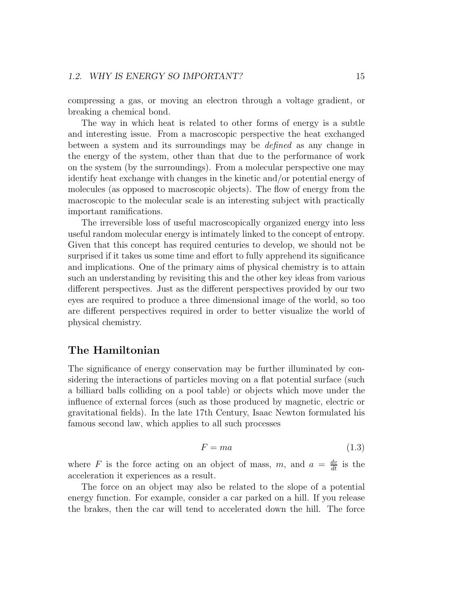compressing a gas, or moving an electron through a voltage gradient, or breaking a chemical bond.

The way in which heat is related to other forms of energy is a subtle and interesting issue. From a macroscopic perspective the heat exchanged between a system and its surroundings may be defined as any change in the energy of the system, other than that due to the performance of work on the system (by the surroundings). From a molecular perspective one may identify heat exchange with changes in the kinetic and/or potential energy of molecules (as opposed to macroscopic objects). The flow of energy from the macroscopic to the molecular scale is an interesting subject with practically important ramifications.

The irreversible loss of useful macroscopically organized energy into less useful random molecular energy is intimately linked to the concept of entropy. Given that this concept has required centuries to develop, we should not be surprised if it takes us some time and effort to fully apprehend its significance and implications. One of the primary aims of physical chemistry is to attain such an understanding by revisiting this and the other key ideas from various different perspectives. Just as the different perspectives provided by our two eyes are required to produce a three dimensional image of the world, so too are different perspectives required in order to better visualize the world of physical chemistry.

## **The Hamiltonian**

The significance of energy conservation may be further illuminated by considering the interactions of particles moving on a flat potential surface (such a billiard balls colliding on a pool table) or objects which move under the influence of external forces (such as those produced by magnetic, electric or gravitational fields). In the late 17th Century, Isaac Newton formulated his famous second law, which applies to all such processes

$$
F = ma \tag{1.3}
$$

where F is the force acting on an object of mass, m, and  $a = \frac{dv}{dt}$  is the acceleration it experiences as a result.

The force on an object may also be related to the slope of a potential energy function. For example, consider a car parked on a hill. If you release the brakes, then the car will tend to accelerated down the hill. The force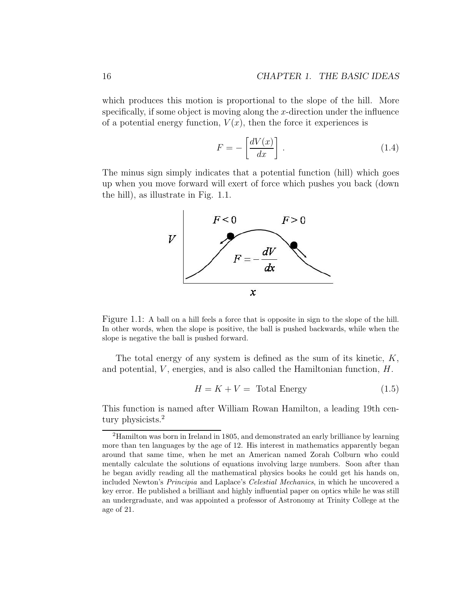which produces this motion is proportional to the slope of the hill. More specifically, if some object is moving along the  $x$ -direction under the influence of a potential energy function,  $V(x)$ , then the force it experiences is

$$
F = -\left[\frac{dV(x)}{dx}\right].\tag{1.4}
$$

The minus sign simply indicates that a potential function (hill) which goes up when you move forward will exert of force which pushes you back (down the hill), as illustrate in Fig. 1.1.



Figure 1.1: A ball on a hill feels a force that is opposite in sign to the slope of the hill. In other words, when the slope is positive, the ball is pushed backwards, while when the slope is negative the ball is pushed forward.

The total energy of any system is defined as the sum of its kinetic,  $K$ , and potential,  $V$ , energies, and is also called the Hamiltonian function,  $H$ .

$$
H = K + V = \text{Total Energy} \tag{1.5}
$$

This function is named after William Rowan Hamilton, a leading 19th century physicists.<sup>2</sup>

<sup>2</sup>Hamilton was born in Ireland in 1805, and demonstrated an early brilliance by learning more than ten languages by the age of 12. His interest in mathematics apparently began around that same time, when he met an American named Zorah Colburn who could mentally calculate the solutions of equations involving large numbers. Soon after than he began avidly reading all the mathematical physics books he could get his hands on, included Newton's Principia and Laplace's Celestial Mechanics, in which he uncovered a key error. He published a brilliant and highly influential paper on optics while he was still an undergraduate, and was appointed a professor of Astronomy at Trinity College at the age of 21.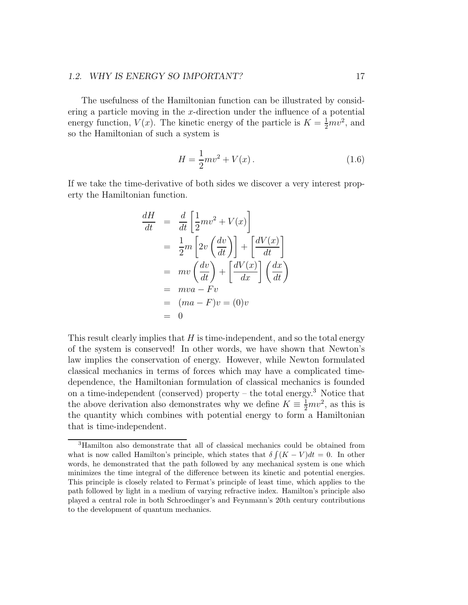#### 1.2. WHY IS ENERGY SO IMPORTANT? 17

The usefulness of the Hamiltonian function can be illustrated by considering a particle moving in the x-direction under the influence of a potential energy function,  $V(x)$ . The kinetic energy of the particle is  $K = \frac{1}{2}mv^2$ , and so the Hamiltonian of such a system is

$$
H = \frac{1}{2}mv^2 + V(x).
$$
 (1.6)

If we take the time-derivative of both sides we discover a very interest property the Hamiltonian function.

$$
\frac{dH}{dt} = \frac{d}{dt} \left[ \frac{1}{2}mv^2 + V(x) \right]
$$
\n
$$
= \frac{1}{2}m \left[ 2v \left( \frac{dv}{dt} \right) \right] + \left[ \frac{dV(x)}{dt} \right]
$$
\n
$$
= mv \left( \frac{dv}{dt} \right) + \left[ \frac{dV(x)}{dx} \right] \left( \frac{dx}{dt} \right)
$$
\n
$$
= mva - Fv
$$
\n
$$
= (ma - F)v = (0)v
$$
\n
$$
= 0
$$

This result clearly implies that  $H$  is time-independent, and so the total energy of the system is conserved! In other words, we have shown that Newton's law implies the conservation of energy. However, while Newton formulated classical mechanics in terms of forces which may have a complicated timedependence, the Hamiltonian formulation of classical mechanics is founded on a time-independent (conserved) property – the total energy.<sup>3</sup> Notice that the above derivation also demonstrates why we define  $K \equiv \frac{1}{2}mv^2$ , as this is the quantity which combines with potential energy to form a Hamiltonian that is time-independent.

<sup>3</sup>Hamilton also demonstrate that all of classical mechanics could be obtained from what is now called Hamilton's principle, which states that  $\delta \int (K - V) dt = 0$ . In other words, he demonstrated that the path followed by any mechanical system is one which minimizes the time integral of the difference between its kinetic and potential energies. This principle is closely related to Fermat's principle of least time, which applies to the path followed by light in a medium of varying refractive index. Hamilton's principle also played a central role in both Schroedinger's and Feynmann's 20th century contributions to the development of quantum mechanics.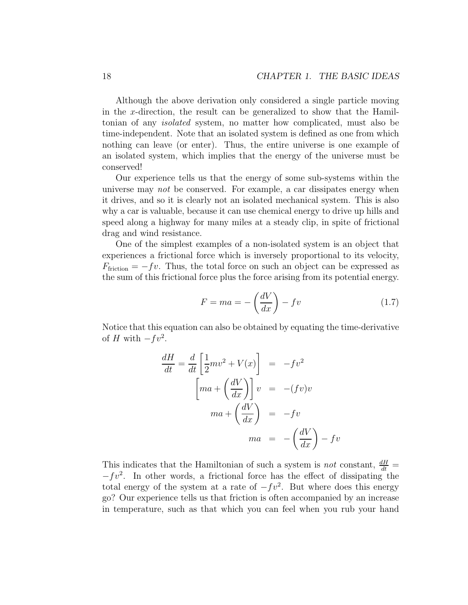Although the above derivation only considered a single particle moving in the x-direction, the result can be generalized to show that the Hamiltonian of any isolated system, no matter how complicated, must also be time-independent. Note that an isolated system is defined as one from which nothing can leave (or enter). Thus, the entire universe is one example of an isolated system, which implies that the energy of the universe must be conserved!

Our experience tells us that the energy of some sub-systems within the universe may not be conserved. For example, a car dissipates energy when it drives, and so it is clearly not an isolated mechanical system. This is also why a car is valuable, because it can use chemical energy to drive up hills and speed along a highway for many miles at a steady clip, in spite of frictional drag and wind resistance.

One of the simplest examples of a non-isolated system is an object that experiences a frictional force which is inversely proportional to its velocity,  $F_{\text{friction}} = -fv$ . Thus, the total force on such an object can be expressed as the sum of this frictional force plus the force arising from its potential energy.

$$
F = ma = -\left(\frac{dV}{dx}\right) - fv \tag{1.7}
$$

Notice that this equation can also be obtained by equating the time-derivative of H with  $-fv^2$ .

$$
\frac{dH}{dt} = \frac{d}{dt} \left[ \frac{1}{2}mv^2 + V(x) \right] = -fv^2
$$

$$
\left[ ma + \left( \frac{dV}{dx} \right) \right] v = -(fv)v
$$

$$
ma + \left( \frac{dV}{dx} \right) = -fv
$$

$$
ma = -\left( \frac{dV}{dx} \right) - fv
$$

This indicates that the Hamiltonian of such a system is *not* constant,  $\frac{dH}{dt}$  =  $-fv^2$ . In other words, a frictional force has the effect of dissipating the total energy of the system at a rate of  $-fv^2$ . But where does this energy go? Our experience tells us that friction is often accompanied by an increase in temperature, such as that which you can feel when you rub your hand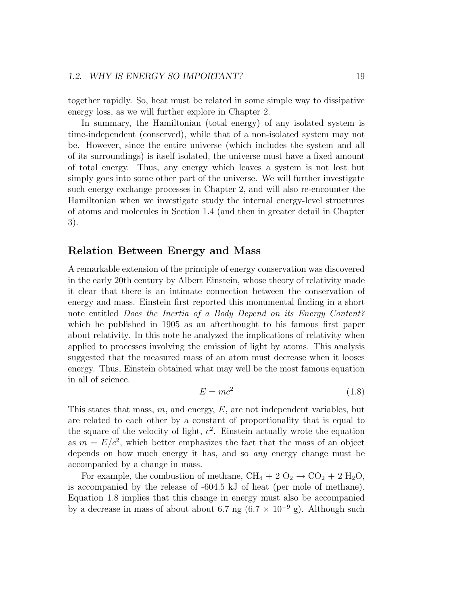together rapidly. So, heat must be related in some simple way to dissipative energy loss, as we will further explore in Chapter 2.

In summary, the Hamiltonian (total energy) of any isolated system is time-independent (conserved), while that of a non-isolated system may not be. However, since the entire universe (which includes the system and all of its surroundings) is itself isolated, the universe must have a fixed amount of total energy. Thus, any energy which leaves a system is not lost but simply goes into some other part of the universe. We will further investigate such energy exchange processes in Chapter 2, and will also re-encounter the Hamiltonian when we investigate study the internal energy-level structures of atoms and molecules in Section 1.4 (and then in greater detail in Chapter 3).

## **Relation Between Energy and Mass**

A remarkable extension of the principle of energy conservation was discovered in the early 20th century by Albert Einstein, whose theory of relativity made it clear that there is an intimate connection between the conservation of energy and mass. Einstein first reported this monumental finding in a short note entitled Does the Inertia of a Body Depend on its Energy Content? which he published in 1905 as an afterthought to his famous first paper about relativity. In this note he analyzed the implications of relativity when applied to processes involving the emission of light by atoms. This analysis suggested that the measured mass of an atom must decrease when it looses energy. Thus, Einstein obtained what may well be the most famous equation in all of science.

$$
E = mc^2 \tag{1.8}
$$

This states that mass, m, and energy, E, are not independent variables, but are related to each other by a constant of proportionality that is equal to the square of the velocity of light,  $c^2$ . Einstein actually wrote the equation as  $m = E/c^2$ , which better emphasizes the fact that the mass of an object depends on how much energy it has, and so any energy change must be accompanied by a change in mass.

For example, the combustion of methane,  $CH_4 + 2 O_2 \rightarrow CO_2 + 2 H_2O$ , is accompanied by the release of -604.5 kJ of heat (per mole of methane). Equation 1.8 implies that this change in energy must also be accompanied by a decrease in mass of about about 6.7 ng  $(6.7 \times 10^{-9} \text{ g})$ . Although such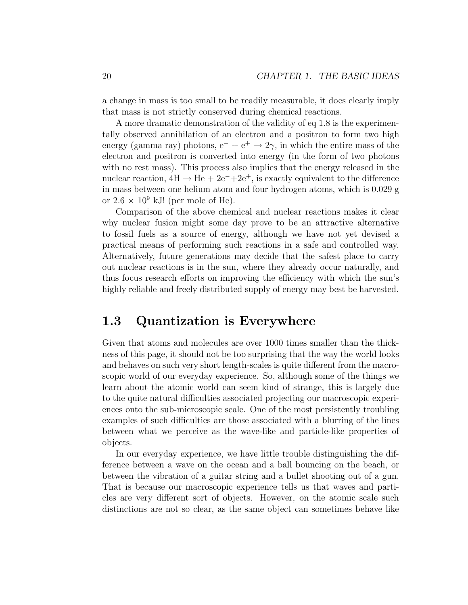a change in mass is too small to be readily measurable, it does clearly imply that mass is not strictly conserved during chemical reactions.

A more dramatic demonstration of the validity of eq 1.8 is the experimentally observed annihilation of an electron and a positron to form two high energy (gamma ray) photons,  $e^- + e^+ \rightarrow 2\gamma$ , in which the entire mass of the electron and positron is converted into energy (in the form of two photons with no rest mass). This process also implies that the energy released in the nuclear reaction,  $4H \rightarrow He + 2e^- + 2e^+$ , is exactly equivalent to the difference in mass between one helium atom and four hydrogen atoms, which is 0.029 g or  $2.6 \times 10^9$  kJ! (per mole of He).

Comparison of the above chemical and nuclear reactions makes it clear why nuclear fusion might some day prove to be an attractive alternative to fossil fuels as a source of energy, although we have not yet devised a practical means of performing such reactions in a safe and controlled way. Alternatively, future generations may decide that the safest place to carry out nuclear reactions is in the sun, where they already occur naturally, and thus focus research efforts on improving the efficiency with which the sun's highly reliable and freely distributed supply of energy may best be harvested.

# **1.3 Quantization is Everywhere**

Given that atoms and molecules are over 1000 times smaller than the thickness of this page, it should not be too surprising that the way the world looks and behaves on such very short length-scales is quite different from the macroscopic world of our everyday experience. So, although some of the things we learn about the atomic world can seem kind of strange, this is largely due to the quite natural difficulties associated projecting our macroscopic experiences onto the sub-microscopic scale. One of the most persistently troubling examples of such difficulties are those associated with a blurring of the lines between what we perceive as the wave-like and particle-like properties of objects.

In our everyday experience, we have little trouble distinguishing the difference between a wave on the ocean and a ball bouncing on the beach, or between the vibration of a guitar string and a bullet shooting out of a gun. That is because our macroscopic experience tells us that waves and particles are very different sort of objects. However, on the atomic scale such distinctions are not so clear, as the same object can sometimes behave like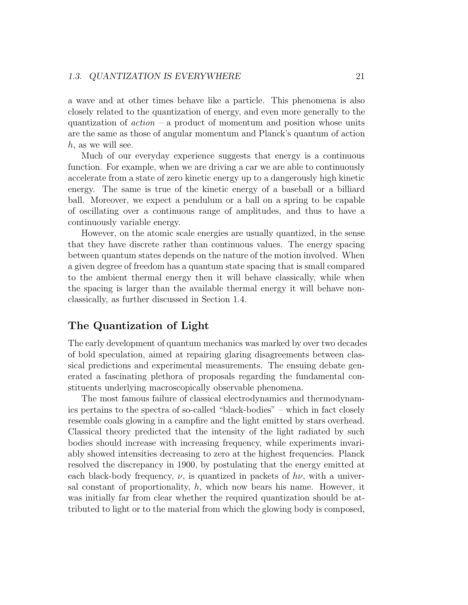a wave and at other times behave like a particle. This phenomena is also closely related to the quantization of energy, and even more generally to the quantization of  $action - a$  product of momentum and position whose units are the same as those of angular momentum and Planck's quantum of action  $h$ , as we will see.

Much of our everyday experience suggests that energy is a continuous function. For example, when we are driving a car we are able to continuously accelerate from a state of zero kinetic energy up to a dangerously high kinetic energy. The same is true of the kinetic energy of a baseball or a billiard ball. Moreover, we expect a pendulum or a ball on a spring to be capable of oscillating over a continuous range of amplitudes, and thus to have a continuously variable energy.

However, on the atomic scale energies are usually quantized, in the sense that they have discrete rather than continuous values. The energy spacing between quantum states depends on the nature of the motion involved. When a given degree of freedom has a quantum state spacing that is small compared to the ambient thermal energy then it will behave classically, while when the spacing is larger than the available thermal energy it will behave nonclassically, as further discussed in Section 1.4.

# **The Quantization of Light**

The early development of quantum mechanics was marked by over two decades of bold speculation, aimed at repairing glaring disagreements between classical predictions and experimental measurements. The ensuing debate generated a fascinating plethora of proposals regarding the fundamental constituents underlying macroscopically observable phenomena.

The most famous failure of classical electrodynamics and thermodynamics pertains to the spectra of so-called "black-bodies" – which in fact closely resemble coals glowing in a campfire and the light emitted by stars overhead. Classical theory predicted that the intensity of the light radiated by such bodies should increase with increasing frequency, while experiments invariably showed intensities decreasing to zero at the highest frequencies. Planck resolved the discrepancy in 1900, by postulating that the energy emitted at each black-body frequency,  $\nu$ , is quantized in packets of  $h\nu$ , with a universal constant of proportionality,  $h$ , which now bears his name. However, it was initially far from clear whether the required quantization should be attributed to light or to the material from which the glowing body is composed,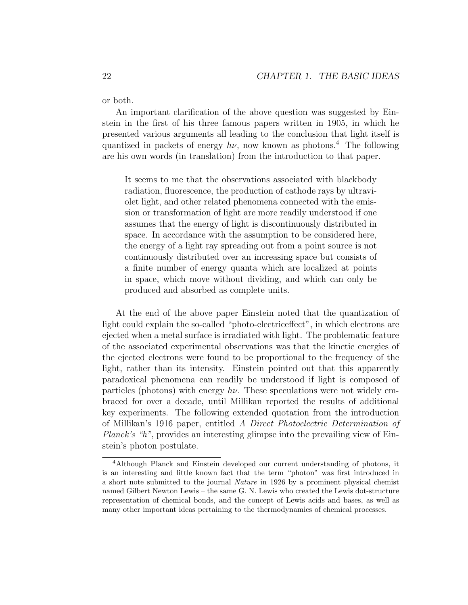or both.

An important clarification of the above question was suggested by Einstein in the first of his three famous papers written in 1905, in which he presented various arguments all leading to the conclusion that light itself is quantized in packets of energy  $h\nu$ , now known as photons.<sup>4</sup> The following are his own words (in translation) from the introduction to that paper.

It seems to me that the observations associated with blackbody radiation, fluorescence, the production of cathode rays by ultraviolet light, and other related phenomena connected with the emission or transformation of light are more readily understood if one assumes that the energy of light is discontinuously distributed in space. In accordance with the assumption to be considered here, the energy of a light ray spreading out from a point source is not continuously distributed over an increasing space but consists of a finite number of energy quanta which are localized at points in space, which move without dividing, and which can only be produced and absorbed as complete units.

At the end of the above paper Einstein noted that the quantization of light could explain the so-called "photo-electriceffect", in which electrons are ejected when a metal surface is irradiated with light. The problematic feature of the associated experimental observations was that the kinetic energies of the ejected electrons were found to be proportional to the frequency of the light, rather than its intensity. Einstein pointed out that this apparently paradoxical phenomena can readily be understood if light is composed of particles (photons) with energy  $h\nu$ . These speculations were not widely embraced for over a decade, until Millikan reported the results of additional key experiments. The following extended quotation from the introduction of Millikan's 1916 paper, entitled A Direct Photoelectric Determination of *Planck's* " $h$ ", provides an interesting glimpse into the prevailing view of Einstein's photon postulate.

<sup>4</sup>Although Planck and Einstein developed our current understanding of photons, it is an interesting and little known fact that the term "photon" was first introduced in a short note submitted to the journal Nature in 1926 by a prominent physical chemist named Gilbert Newton Lewis – the same G. N. Lewis who created the Lewis dot-structure representation of chemical bonds, and the concept of Lewis acids and bases, as well as many other important ideas pertaining to the thermodynamics of chemical processes.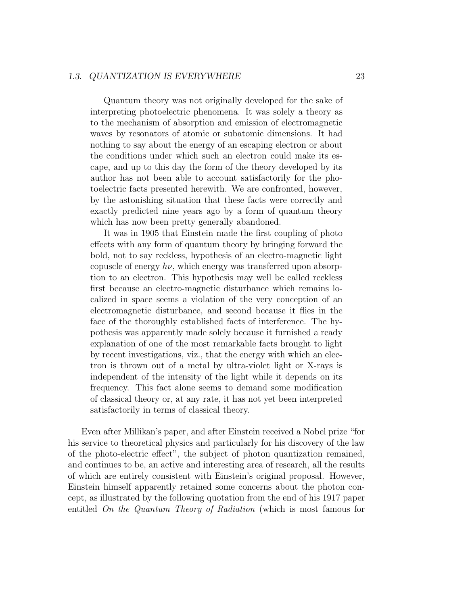#### 1.3. QUANTIZATION IS EVERYWHERE 23

Quantum theory was not originally developed for the sake of interpreting photoelectric phenomena. It was solely a theory as to the mechanism of absorption and emission of electromagnetic waves by resonators of atomic or subatomic dimensions. It had nothing to say about the energy of an escaping electron or about the conditions under which such an electron could make its escape, and up to this day the form of the theory developed by its author has not been able to account satisfactorily for the photoelectric facts presented herewith. We are confronted, however, by the astonishing situation that these facts were correctly and exactly predicted nine years ago by a form of quantum theory which has now been pretty generally abandoned.

It was in 1905 that Einstein made the first coupling of photo effects with any form of quantum theory by bringing forward the bold, not to say reckless, hypothesis of an electro-magnetic light copuscle of energy  $h\nu$ , which energy was transferred upon absorption to an electron. This hypothesis may well be called reckless first because an electro-magnetic disturbance which remains localized in space seems a violation of the very conception of an electromagnetic disturbance, and second because it flies in the face of the thoroughly established facts of interference. The hypothesis was apparently made solely because it furnished a ready explanation of one of the most remarkable facts brought to light by recent investigations, viz., that the energy with which an electron is thrown out of a metal by ultra-violet light or X-rays is independent of the intensity of the light while it depends on its frequency. This fact alone seems to demand some modification of classical theory or, at any rate, it has not yet been interpreted satisfactorily in terms of classical theory.

Even after Millikan's paper, and after Einstein received a Nobel prize "for his service to theoretical physics and particularly for his discovery of the law of the photo-electric effect", the subject of photon quantization remained, and continues to be, an active and interesting area of research, all the results of which are entirely consistent with Einstein's original proposal. However, Einstein himself apparently retained some concerns about the photon concept, as illustrated by the following quotation from the end of his 1917 paper entitled On the Quantum Theory of Radiation (which is most famous for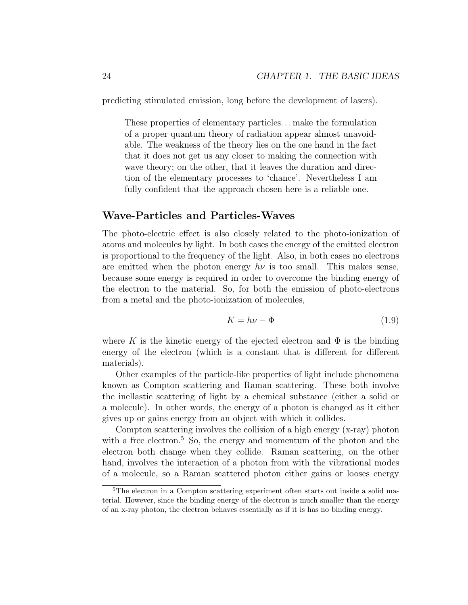predicting stimulated emission, long before the development of lasers).

These properties of elementary particles. . . make the formulation of a proper quantum theory of radiation appear almost unavoidable. The weakness of the theory lies on the one hand in the fact that it does not get us any closer to making the connection with wave theory; on the other, that it leaves the duration and direction of the elementary processes to 'chance'. Nevertheless I am fully confident that the approach chosen here is a reliable one.

## **Wave-Particles and Particles-Waves**

The photo-electric effect is also closely related to the photo-ionization of atoms and molecules by light. In both cases the energy of the emitted electron is proportional to the frequency of the light. Also, in both cases no electrons are emitted when the photon energy  $h\nu$  is too small. This makes sense, because some energy is required in order to overcome the binding energy of the electron to the material. So, for both the emission of photo-electrons from a metal and the photo-ionization of molecules,

$$
K = h\nu - \Phi \tag{1.9}
$$

where K is the kinetic energy of the ejected electron and  $\Phi$  is the binding energy of the electron (which is a constant that is different for different materials).

Other examples of the particle-like properties of light include phenomena known as Compton scattering and Raman scattering. These both involve the inellastic scattering of light by a chemical substance (either a solid or a molecule). In other words, the energy of a photon is changed as it either gives up or gains energy from an object with which it collides.

Compton scattering involves the collision of a high energy (x-ray) photon with a free electron.<sup>5</sup> So, the energy and momentum of the photon and the electron both change when they collide. Raman scattering, on the other hand, involves the interaction of a photon from with the vibrational modes of a molecule, so a Raman scattered photon either gains or looses energy

<sup>5</sup>The electron in a Compton scattering experiment often starts out inside a solid material. However, since the binding energy of the electron is much smaller than the energy of an x-ray photon, the electron behaves essentially as if it is has no binding energy.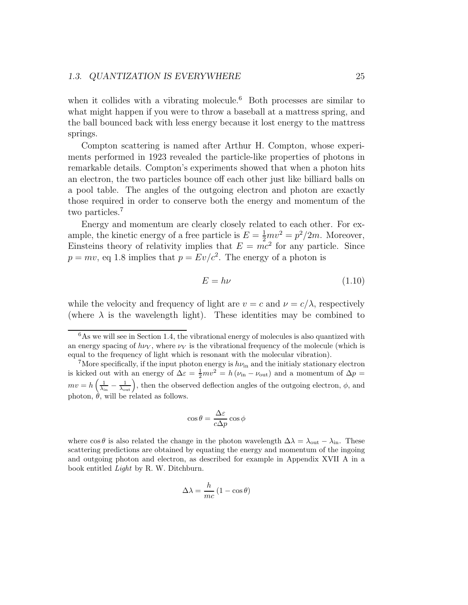#### 1.3. QUANTIZATION IS EVERYWHERE 25

when it collides with a vibrating molecule.<sup>6</sup> Both processes are similar to what might happen if you were to throw a baseball at a mattress spring, and the ball bounced back with less energy because it lost energy to the mattress springs.

Compton scattering is named after Arthur H. Compton, whose experiments performed in 1923 revealed the particle-like properties of photons in remarkable details. Compton's experiments showed that when a photon hits an electron, the two particles bounce off each other just like billiard balls on a pool table. The angles of the outgoing electron and photon are exactly those required in order to conserve both the energy and momentum of the two particles.<sup>7</sup>

Energy and momentum are clearly closely related to each other. For example, the kinetic energy of a free particle is  $E = \frac{1}{2}mv^2 = p^2/2m$ . Moreover, Einsteins theory of relativity implies that  $E = mc^2$  for any particle. Since  $p = mv$ , eq 1.8 implies that  $p = Ev/c^2$ . The energy of a photon is

$$
E = h\nu \tag{1.10}
$$

while the velocity and frequency of light are  $v = c$  and  $\nu = c/\lambda$ , respectively (where  $\lambda$  is the wavelength light). These identities may be combined to

$$
\cos \theta = \frac{\Delta \varepsilon}{c \Delta p} \cos \phi
$$

where  $\cos \theta$  is also related the change in the photon wavelength  $\Delta \lambda = \lambda_{\text{out}} - \lambda_{\text{in}}$ . These scattering predictions are obtained by equating the energy and momentum of the ingoing and outgoing photon and electron, as described for example in Appendix XVII A in a book entitled Light by R. W. Ditchburn.

$$
\Delta\lambda = \frac{h}{mc} \left( 1 - \cos\theta \right)
$$

 $6$ As we will see in Section 1.4, the vibrational energy of molecules is also quantized with an energy spacing of  $h\nu_V$ , where  $\nu_V$  is the vibrational frequency of the molecule (which is equal to the frequency of light which is resonant with the molecular vibration).

<sup>&</sup>lt;sup>7</sup>More specifically, if the input photon energy is  $h\nu$ <sub>in</sub> and the initialy stationary electron is kicked out with an energy of  $\Delta \varepsilon = \frac{1}{2}mv^2 = h(\nu_{\rm in} - \nu_{\rm out})$  and a momentum of  $\Delta p =$  $mv = h\left(\frac{1}{\lambda_{\text{in}}} - \frac{1}{\lambda_{\text{out}}}\right)$ , then the observed deflection angles of the outgoing electron,  $\phi$ , and photon,  $\dot{\theta}$ , will be related as follows.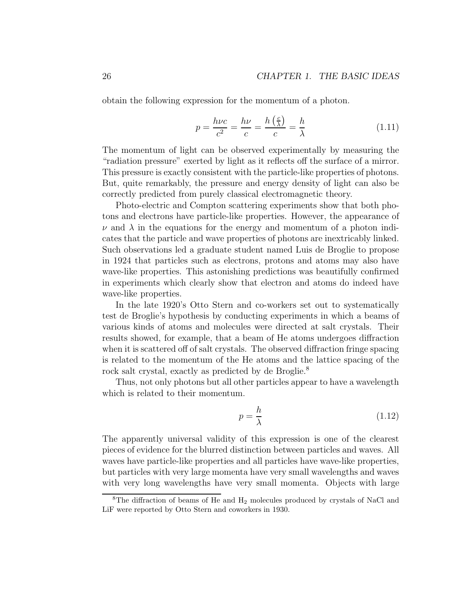obtain the following expression for the momentum of a photon.

$$
p = \frac{h\nu c}{c^2} = \frac{h\nu}{c} = \frac{h\left(\frac{c}{\lambda}\right)}{c} = \frac{h}{\lambda} \tag{1.11}
$$

The momentum of light can be observed experimentally by measuring the "radiation pressure" exerted by light as it reflects off the surface of a mirror. This pressure is exactly consistent with the particle-like properties of photons. But, quite remarkably, the pressure and energy density of light can also be correctly predicted from purely classical electromagnetic theory.

Photo-electric and Compton scattering experiments show that both photons and electrons have particle-like properties. However, the appearance of  $\nu$  and  $\lambda$  in the equations for the energy and momentum of a photon indicates that the particle and wave properties of photons are inextricably linked. Such observations led a graduate student named Luis de Broglie to propose in 1924 that particles such as electrons, protons and atoms may also have wave-like properties. This astonishing predictions was beautifully confirmed in experiments which clearly show that electron and atoms do indeed have wave-like properties.

In the late 1920's Otto Stern and co-workers set out to systematically test de Broglie's hypothesis by conducting experiments in which a beams of various kinds of atoms and molecules were directed at salt crystals. Their results showed, for example, that a beam of He atoms undergoes diffraction when it is scattered off of salt crystals. The observed diffraction fringe spacing is related to the momentum of the He atoms and the lattice spacing of the rock salt crystal, exactly as predicted by de Broglie.<sup>8</sup>

Thus, not only photons but all other particles appear to have a wavelength which is related to their momentum.

$$
p = \frac{h}{\lambda} \tag{1.12}
$$

The apparently universal validity of this expression is one of the clearest pieces of evidence for the blurred distinction between particles and waves. All waves have particle-like properties and all particles have wave-like properties, but particles with very large momenta have very small wavelengths and waves with very long wavelengths have very small momenta. Objects with large

 $8$ The diffraction of beams of He and  $H_2$  molecules produced by crystals of NaCl and LiF were reported by Otto Stern and coworkers in 1930.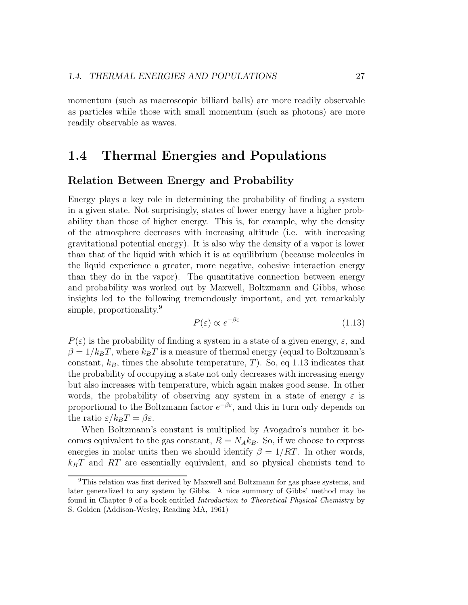momentum (such as macroscopic billiard balls) are more readily observable as particles while those with small momentum (such as photons) are more readily observable as waves.

# **1.4 Thermal Energies and Populations**

## **Relation Between Energy and Probability**

Energy plays a key role in determining the probability of finding a system in a given state. Not surprisingly, states of lower energy have a higher probability than those of higher energy. This is, for example, why the density of the atmosphere decreases with increasing altitude (i.e. with increasing gravitational potential energy). It is also why the density of a vapor is lower than that of the liquid with which it is at equilibrium (because molecules in the liquid experience a greater, more negative, cohesive interaction energy than they do in the vapor). The quantitative connection between energy and probability was worked out by Maxwell, Boltzmann and Gibbs, whose insights led to the following tremendously important, and yet remarkably simple, proportionality.<sup>9</sup>

$$
P(\varepsilon) \propto e^{-\beta \varepsilon} \tag{1.13}
$$

 $P(\varepsilon)$  is the probability of finding a system in a state of a given energy,  $\varepsilon$ , and  $\beta = 1/k_B T$ , where  $k_B T$  is a measure of thermal energy (equal to Boltzmann's constant,  $k_B$ , times the absolute temperature, T). So, eq 1.13 indicates that the probability of occupying a state not only decreases with increasing energy but also increases with temperature, which again makes good sense. In other words, the probability of observing any system in a state of energy  $\varepsilon$  is proportional to the Boltzmann factor  $e^{-\beta \varepsilon}$ , and this in turn only depends on the ratio  $\varepsilon/k_BT = \beta\varepsilon$ .

When Boltzmann's constant is multiplied by Avogadro's number it becomes equivalent to the gas constant,  $R = N_A k_B$ . So, if we choose to express energies in molar units then we should identify  $\beta = 1/RT$ . In other words,  $k_BT$  and RT are essentially equivalent, and so physical chemists tend to

<sup>9</sup>This relation was first derived by Maxwell and Boltzmann for gas phase systems, and later generalized to any system by Gibbs. A nice summary of Gibbs' method may be found in Chapter 9 of a book entitled Introduction to Theoretical Physical Chemistry by S. Golden (Addison-Wesley, Reading MA, 1961)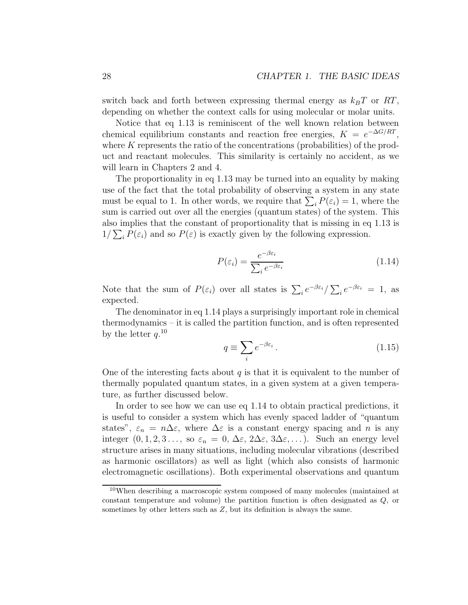switch back and forth between expressing thermal energy as  $k_BT$  or RT, depending on whether the context calls for using molecular or molar units.

Notice that eq 1.13 is reminiscent of the well known relation between chemical equilibrium constants and reaction free energies,  $K = e^{-\Delta G/RT}$ , where  $K$  represents the ratio of the concentrations (probabilities) of the product and reactant molecules. This similarity is certainly no accident, as we will learn in Chapters 2 and 4.

The proportionality in eq 1.13 may be turned into an equality by making use of the fact that the total probability of observing a system in any state must be equal to 1. In other words, we require that  $\sum_i P(\varepsilon_i) = 1$ , where the sum is carried out over all the energies (quantum states) of the system. This also implies that the constant of proportionality that is missing in eq 1.13 is  $1/\sum_i P(\varepsilon_i)$  and so  $P(\varepsilon)$  is exactly given by the following expression.

$$
P(\varepsilon_i) = \frac{e^{-\beta \varepsilon_i}}{\sum_i e^{-\beta \varepsilon_i}} \tag{1.14}
$$

Note that the sum of  $P(\varepsilon_i)$  over all states is  $\sum_i e^{-\beta \varepsilon_i} / \sum_i e^{-\beta \varepsilon_i} = 1$ , as expected.

The denominator in eq 1.14 plays a surprisingly important role in chemical thermodynamics – it is called the partition function, and is often represented by the letter  $q.^{10}$ 

$$
q \equiv \sum_{i} e^{-\beta \varepsilon_i} \,. \tag{1.15}
$$

One of the interesting facts about  $q$  is that it is equivalent to the number of thermally populated quantum states, in a given system at a given temperature, as further discussed below.

In order to see how we can use eq 1.14 to obtain practical predictions, it is useful to consider a system which has evenly spaced ladder of "quantum states",  $\varepsilon_n = n\Delta\varepsilon$ , where  $\Delta\varepsilon$  is a constant energy spacing and n is any integer  $(0, 1, 2, 3, \ldots, \text{ so } \varepsilon_n = 0, \Delta \varepsilon, 2\Delta \varepsilon, 3\Delta \varepsilon, \ldots)$ . Such an energy level structure arises in many situations, including molecular vibrations (described as harmonic oscillators) as well as light (which also consists of harmonic electromagnetic oscillations). Both experimental observations and quantum

<sup>10</sup>When describing a macroscopic system composed of many molecules (maintained at constant temperature and volume) the partition function is often designated as Q, or sometimes by other letters such as Z, but its definition is always the same.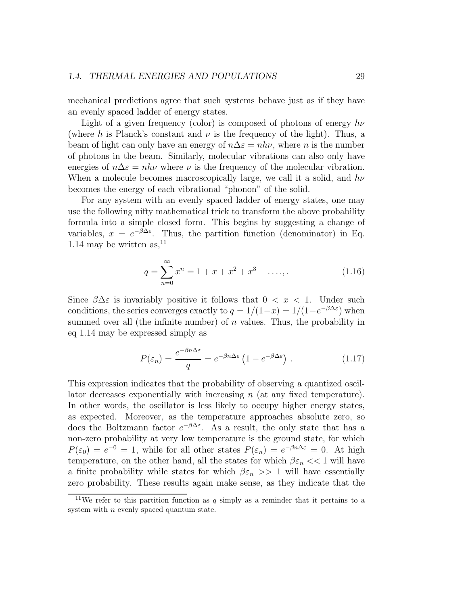mechanical predictions agree that such systems behave just as if they have an evenly spaced ladder of energy states.

Light of a given frequency (color) is composed of photons of energy  $h\nu$ (where h is Planck's constant and  $\nu$  is the frequency of the light). Thus, a beam of light can only have an energy of  $n\Delta \varepsilon = nh\nu$ , where n is the number of photons in the beam. Similarly, molecular vibrations can also only have energies of  $n\Delta \varepsilon = nh\nu$  where  $\nu$  is the frequency of the molecular vibration. When a molecule becomes macroscopically large, we call it a solid, and  $h\nu$ becomes the energy of each vibrational "phonon" of the solid.

For any system with an evenly spaced ladder of energy states, one may use the following nifty mathematical trick to transform the above probability formula into a simple closed form. This begins by suggesting a change of variables,  $x = e^{-\beta \Delta \varepsilon}$ . Thus, the partition function (denominator) in Eq. 1.14 may be written as,  $11$ 

$$
q = \sum_{n=0}^{\infty} x^n = 1 + x + x^2 + x^3 + \dots,
$$
\n(1.16)

Since  $\beta \Delta \varepsilon$  is invariably positive it follows that  $0 < x < 1$ . Under such conditions, the series converges exactly to  $q = 1/(1-x) = 1/(1-e^{-\beta \Delta \varepsilon})$  when summed over all (the infinite number) of  $n$  values. Thus, the probability in eq 1.14 may be expressed simply as

$$
P(\varepsilon_n) = \frac{e^{-\beta n \Delta \varepsilon}}{q} = e^{-\beta n \Delta \varepsilon} \left( 1 - e^{-\beta \Delta \varepsilon} \right) . \tag{1.17}
$$

This expression indicates that the probability of observing a quantized oscillator decreases exponentially with increasing  $n$  (at any fixed temperature). In other words, the oscillator is less likely to occupy higher energy states, as expected. Moreover, as the temperature approaches absolute zero, so does the Boltzmann factor  $e^{-\beta \Delta \varepsilon}$ . As a result, the only state that has a non-zero probability at very low temperature is the ground state, for which  $P(\varepsilon_0) = e^{-0} = 1$ , while for all other states  $P(\varepsilon_n) = e^{-\beta n \Delta \varepsilon} = 0$ . At high temperature, on the other hand, all the states for which  $\beta \varepsilon_n << 1$  will have a finite probability while states for which  $\beta \varepsilon_n >> 1$  will have essentially zero probability. These results again make sense, as they indicate that the

<sup>&</sup>lt;sup>11</sup>We refer to this partition function as  $q$  simply as a reminder that it pertains to a system with *n* evenly spaced quantum state.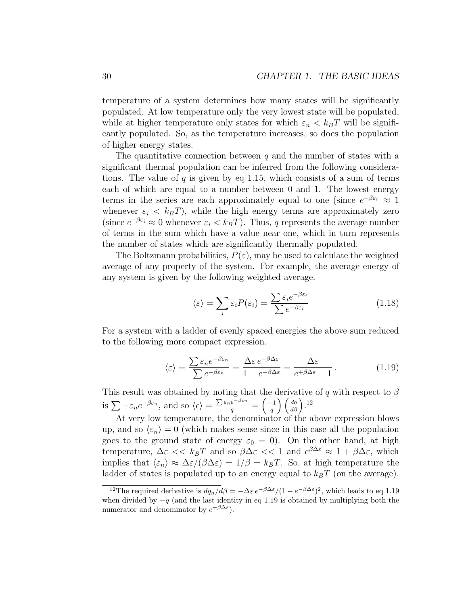temperature of a system determines how many states will be significantly populated. At low temperature only the very lowest state will be populated, while at higher temperature only states for which  $\varepsilon_n < k_B T$  will be significantly populated. So, as the temperature increases, so does the population of higher energy states.

The quantitative connection between q and the number of states with a significant thermal population can be inferred from the following considerations. The value of q is given by eq 1.15, which consists of a sum of terms each of which are equal to a number between 0 and 1. The lowest energy terms in the series are each approximately equal to one (since  $e^{-\beta \epsilon_i} \approx 1$ whenever  $\varepsilon_i < k_B T$ ), while the high energy terms are approximately zero (since  $e^{-\beta \epsilon_i} \approx 0$  whenever  $\epsilon_i < k_B T$ ). Thus, q represents the average number of terms in the sum which have a value near one, which in turn represents the number of states which are significantly thermally populated.

The Boltzmann probabilities,  $P(\varepsilon)$ , may be used to calculate the weighted average of any property of the system. For example, the average energy of any system is given by the following weighted average.

$$
\langle \varepsilon \rangle = \sum_{i} \varepsilon_{i} P(\varepsilon_{i}) = \frac{\sum \varepsilon_{i} e^{-\beta \varepsilon_{i}}}{\sum e^{-\beta \varepsilon_{i}}} \tag{1.18}
$$

For a system with a ladder of evenly spaced energies the above sum reduced to the following more compact expression.

$$
\langle \varepsilon \rangle = \frac{\sum \varepsilon_n e^{-\beta \varepsilon_n}}{\sum e^{-\beta \varepsilon_n}} = \frac{\Delta \varepsilon e^{-\beta \Delta \varepsilon}}{1 - e^{-\beta \Delta \varepsilon}} = \frac{\Delta \varepsilon}{e^{+\beta \Delta \varepsilon} - 1}.
$$
 (1.19)

This result was obtained by noting that the derivative of  $q$  with respect to  $\beta$ is  $\sum -\varepsilon_n e^{-\beta \varepsilon_n}$ , and so  $\langle \epsilon \rangle = \frac{\sum \varepsilon_n e^{-\beta \varepsilon_n}}{q} = \left(\frac{-1}{q}\right) \left(\frac{dq}{d\beta}\right).$ <sup>12</sup>

At very low temperature, the denominator of the above expression blows up, and so  $\langle \varepsilon_n \rangle = 0$  (which makes sense since in this case all the population goes to the ground state of energy  $\varepsilon_0 = 0$ . On the other hand, at high temperature,  $\Delta \varepsilon \ll k_B T$  and so  $\beta \Delta \varepsilon \ll 1$  and  $e^{\beta \Delta \varepsilon} \approx 1 + \beta \Delta \varepsilon$ , which implies that  $\langle \varepsilon_n \rangle \approx \Delta \varepsilon / (\beta \Delta \varepsilon) = 1/\beta = k_B T$ . So, at high temperature the ladder of states is populated up to an energy equal to  $k_BT$  (on the average).

<sup>&</sup>lt;sup>12</sup>The required derivative is  $dq_n/d\beta = -\Delta\varepsilon e^{-\beta\Delta\varepsilon}/(1-e^{-\beta\Delta\varepsilon})^2$ , which leads to eq 1.19 when divided by  $-q$  (and the last identity in eq 1.19 is obtained by multiplying both the numerator and denominator by  $e^{+\beta \Delta \varepsilon}$ ).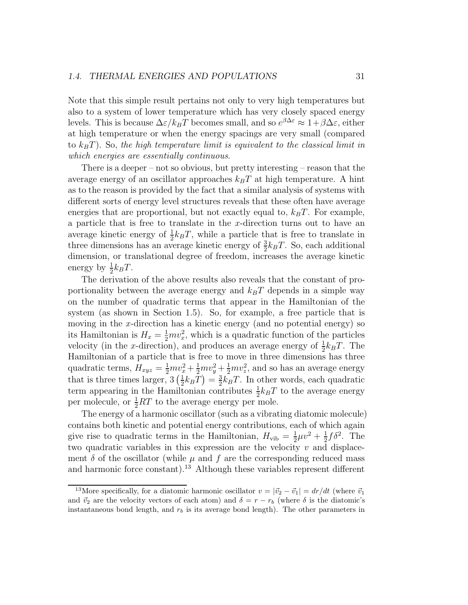Note that this simple result pertains not only to very high temperatures but also to a system of lower temperature which has very closely spaced energy levels. This is because  $\Delta \varepsilon / k_B T$  becomes small, and so  $e^{\beta \Delta \varepsilon} \approx 1 + \beta \Delta \varepsilon$ , either at high temperature or when the energy spacings are very small (compared to  $k_BT$ ). So, the high temperature limit is equivalent to the classical limit in which energies are essentially continuous.

There is a deeper – not so obvious, but pretty interesting – reason that the average energy of an oscillator approaches  $k_BT$  at high temperature. A hint as to the reason is provided by the fact that a similar analysis of systems with different sorts of energy level structures reveals that these often have average energies that are proportional, but not exactly equal to,  $k_BT$ . For example, a particle that is free to translate in the x-direction turns out to have an average kinetic energy of  $\frac{1}{2}k_BT$ , while a particle that is free to translate in three dimensions has an average kinetic energy of  $\frac{3}{2}k_BT$ . So, each additional dimension, or translational degree of freedom, increases the average kinetic energy by  $\frac{1}{2}k_BT$ .

The derivation of the above results also reveals that the constant of proportionality between the average energy and  $k_BT$  depends in a simple way on the number of quadratic terms that appear in the Hamiltonian of the system (as shown in Section 1.5). So, for example, a free particle that is moving in the x-direction has a kinetic energy (and no potential energy) so its Hamiltonian is  $H_x = \frac{1}{2}mv_x^2$ , which is a quadratic function of the particles velocity (in the x-direction), and produces an average energy of  $\frac{1}{2}k_BT$ . The Hamiltonian of a particle that is free to move in three dimensions has three quadratic terms,  $H_{xyz} = \frac{1}{2}mv_x^2 + \frac{1}{2}mv_y^2 + \frac{1}{2}mv_z^2$ , and so has an average energy that is three times larger,  $3\left(\frac{1}{2}k_BT\right) = \frac{3}{2}k_BT$ . In other words, each quadratic term appearing in the Hamiltonian contributes  $\frac{1}{2}k_BT$  to the average energy per molecule, or  $\frac{1}{2}RT$  to the average energy per mole.

The energy of a harmonic oscillator (such as a vibrating diatomic molecule) contains both kinetic and potential energy contributions, each of which again give rise to quadratic terms in the Hamiltonian,  $H_{\text{vib}} = \frac{1}{2}\mu v^2 + \frac{1}{2}f\delta^2$ . The two quadratic variables in this expression are the velocity  $v$  and displacement  $\delta$  of the oscillator (while  $\mu$  and  $f$  are the corresponding reduced mass and harmonic force constant).<sup>13</sup> Although these variables represent different

<sup>&</sup>lt;sup>13</sup>More specifically, for a diatomic harmonic oscillator  $v = |\vec{v}_2 - \vec{v}_1| = dr/dt$  (where  $\vec{v}_1$ ) and  $\vec{v}_2$  are the velocity vectors of each atom) and  $\delta = r - r_b$  (where  $\delta$  is the diatomic's instantaneous bond length, and  $r<sub>b</sub>$  is its average bond length). The other parameters in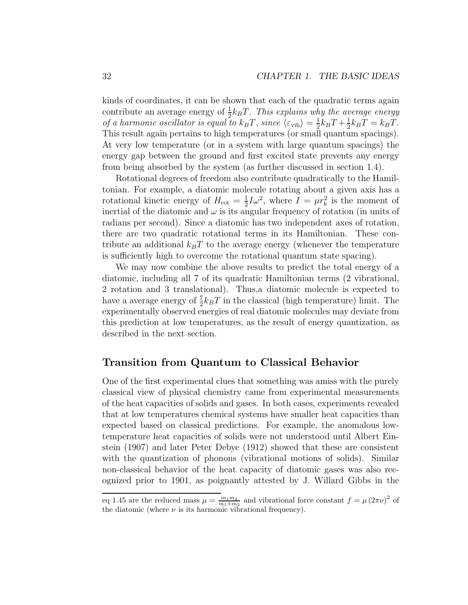kinds of coordinates, it can be shown that each of the quadratic terms again contribute an average energy of  $\frac{1}{2}k_BT$ . This explains why the average energy of a harmonic oscillator is equal to  $k_B T$ , since  $\langle \varepsilon_{\rm vib} \rangle = \frac{1}{2} k_B T + \frac{1}{2} k_B T = k_B T$ . This result again pertains to high temperatures (or small quantum spacings). At very low temperature (or in a system with large quantum spacings) the energy gap between the ground and first excited state prevents any energy from being absorbed by the system (as further discussed in section 1.4).

Rotational degrees of freedom also contribute quadratically to the Hamiltonian. For example, a diatomic molecule rotating about a given axis has a rotational kinetic energy of  $H_{\text{rot}} = \frac{1}{2}I\omega^2$ , where  $I = \mu r_b^2$  is the moment of inertial of the diatomic and  $\omega$  is its angular frequency of rotation (in units of radians per second). Since a diatomic has two independent axes of rotation, there are two quadratic rotational terms in its Hamiltonian. These contribute an additional  $k_B T$  to the average energy (whenever the temperature is sufficiently high to overcome the rotational quantum state spacing).

We may now combine the above results to predict the total energy of a diatomic, including all 7 of its quadratic Hamiltonian terms (2 vibrational, 2 rotation and 3 translational). Thus,a diatomic molecule is expected to have a average energy of  $\frac{7}{2}k_BT$  in the classical (high temperature) limit. The experimentally observed energies of real diatomic molecules may deviate from this prediction at low temperatures, as the result of energy quantization, as described in the next section.

# **Transition from Quantum to Classical Behavior**

One of the first experimental clues that something was amiss with the purely classical view of physical chemistry came from experimental measurements of the heat capacities of solids and gases. In both cases, experiments revealed that at low temperatures chemical systems have smaller heat capacities than expected based on classical predictions. For example, the anomalous lowtemperature heat capacities of solids were not understood until Albert Einstein (1907) and later Peter Debye (1912) showed that these are consistent with the quantization of phonons (vibrational motions of solids). Similar non-classical behavior of the heat capacity of diatomic gases was also recognized prior to 1901, as poignantly attested by J. Willard Gibbs in the

eq 1.45 are the reduced mass  $\mu = \frac{m_1 m_2}{m_1 + m_2}$  and vibrational force constant  $f = \mu (2\pi\nu)^2$  of the diatomic (where  $\nu$  is its harmonic vibrational frequency).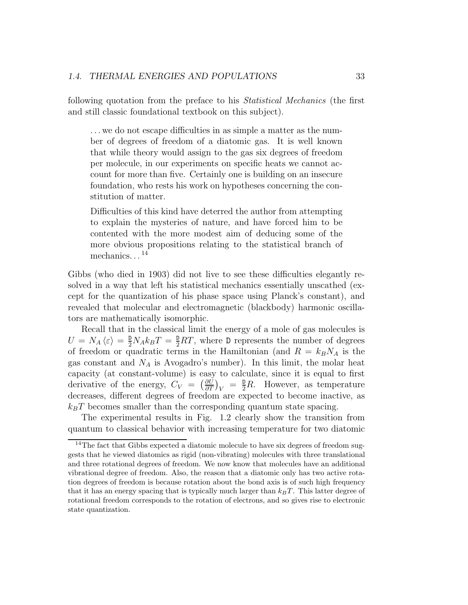following quotation from the preface to his Statistical Mechanics (the first and still classic foundational textbook on this subject).

. . . we do not escape difficulties in as simple a matter as the number of degrees of freedom of a diatomic gas. It is well known that while theory would assign to the gas six degrees of freedom per molecule, in our experiments on specific heats we cannot account for more than five. Certainly one is building on an insecure foundation, who rests his work on hypotheses concerning the constitution of matter.

Difficulties of this kind have deterred the author from attempting to explain the mysteries of nature, and have forced him to be contented with the more modest aim of deducing some of the more obvious propositions relating to the statistical branch of mechanics...<sup>14</sup>

Gibbs (who died in 1903) did not live to see these difficulties elegantly resolved in a way that left his statistical mechanics essentially unscathed (except for the quantization of his phase space using Planck's constant), and revealed that molecular and electromagnetic (blackbody) harmonic oscillators are mathematically isomorphic.

Recall that in the classical limit the energy of a mole of gas molecules is  $U = N_A \langle \varepsilon \rangle = \frac{D}{2} N_A k_B T = \frac{D}{2} RT$ , where D represents the number of degrees of freedom or quadratic terms in the Hamiltonian (and  $R = k_B N_A$  is the gas constant and  $N_A$  is Avogadro's number). In this limit, the molar heat capacity (at constant-volume) is easy to calculate, since it is equal to first derivative of the energy,  $C_V = \left(\frac{\partial U}{\partial T}\right)_V = \frac{D}{2}R$ . However, as temperature decreases, different degrees of freedom are expected to become inactive, as  $k_BT$  becomes smaller than the corresponding quantum state spacing.

The experimental results in Fig. 1.2 clearly show the transition from quantum to classical behavior with increasing temperature for two diatomic

<sup>&</sup>lt;sup>14</sup>The fact that Gibbs expected a diatomic molecule to have six degrees of freedom suggests that he viewed diatomics as rigid (non-vibrating) molecules with three translational and three rotational degrees of freedom. We now know that molecules have an additional vibrational degree of freedom. Also, the reason that a diatomic only has two active rotation degrees of freedom is because rotation about the bond axis is of such high frequency that it has an energy spacing that is typically much larger than  $k_BT$ . This latter degree of rotational freedom corresponds to the rotation of electrons, and so gives rise to electronic state quantization.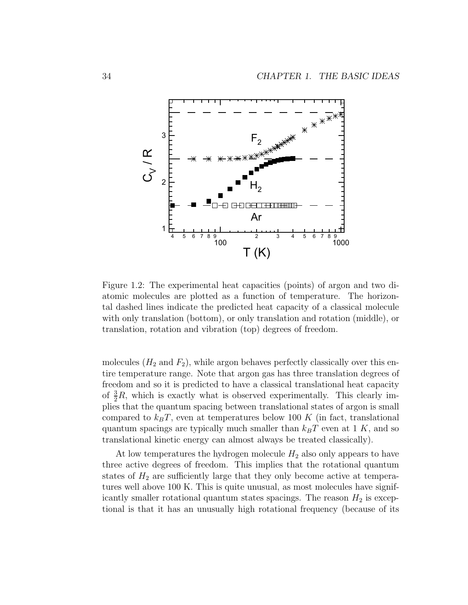

Figure 1.2: The experimental heat capacities (points) of argon and two diatomic molecules are plotted as a function of temperature. The horizontal dashed lines indicate the predicted heat capacity of a classical molecule with only translation (bottom), or only translation and rotation (middle), or translation, rotation and vibration (top) degrees of freedom.

molecules  $(H_2 \text{ and } F_2)$ , while argon behaves perfectly classically over this entire temperature range. Note that argon gas has three translation degrees of freedom and so it is predicted to have a classical translational heat capacity of  $\frac{3}{2}R$ , which is exactly what is observed experimentally. This clearly implies that the quantum spacing between translational states of argon is small compared to  $k_BT$ , even at temperatures below 100 K (in fact, translational quantum spacings are typically much smaller than  $k_BT$  even at 1 K, and so translational kinetic energy can almost always be treated classically).

At low temperatures the hydrogen molecule  $H_2$  also only appears to have three active degrees of freedom. This implies that the rotational quantum states of  $H_2$  are sufficiently large that they only become active at temperatures well above 100 K. This is quite unusual, as most molecules have significantly smaller rotational quantum states spacings. The reason  $H_2$  is exceptional is that it has an unusually high rotational frequency (because of its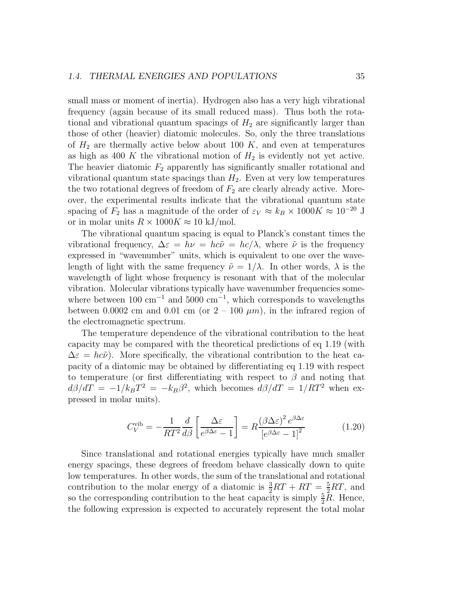small mass or moment of inertia). Hydrogen also has a very high vibrational frequency (again because of its small reduced mass). Thus both the rotational and vibrational quantum spacings of  $H_2$  are significantly larger than those of other (heavier) diatomic molecules. So, only the three translations of  $H_2$  are thermally active below about 100 K, and even at temperatures as high as 400 K the vibrational motion of  $H_2$  is evidently not yet active. The heavier diatomic  $F_2$  apparently has significantly smaller rotational and vibrational quantum state spacings than  $H_2$ . Even at very low temperatures the two rotational degrees of freedom of  $F_2$  are clearly already active. Moreover, the experimental results indicate that the vibrational quantum state spacing of  $F_2$  has a magnitude of the order of  $\varepsilon_V \approx k_B \times 1000K \approx 10^{-20}$  J or in molar units  $R \times 1000K \approx 10 \text{ kJ/mol}$ .

The vibrational quantum spacing is equal to Planck's constant times the vibrational frequency,  $\Delta \varepsilon = h\nu = hc\tilde{\nu} = hc/\lambda$ , where  $\tilde{\nu}$  is the frequency expressed in "wavenumber" units, which is equivalent to one over the wavelength of light with the same frequency  $\tilde{\nu} = 1/\lambda$ . In other words,  $\lambda$  is the wavelength of light whose frequency is resonant with that of the molecular vibration. Molecular vibrations typically have wavenumber frequencies somewhere between  $100 \text{ cm}^{-1}$  and  $5000 \text{ cm}^{-1}$ , which corresponds to wavelengths between 0.0002 cm and 0.01 cm (or  $2 - 100 \mu m$ ), in the infrared region of the electromagnetic spectrum.

The temperature dependence of the vibrational contribution to the heat capacity may be compared with the theoretical predictions of eq 1.19 (with  $\Delta \varepsilon = hc\tilde{\nu}$ . More specifically, the vibrational contribution to the heat capacity of a diatomic may be obtained by differentiating eq 1.19 with respect to temperature (or first differentiating with respect to  $\beta$  and noting that  $d\beta/dT = -1/k_B T^2 = -k_B\beta^2$ , which becomes  $d\beta/dT = 1/RT^2$  when expressed in molar units).

$$
C_V^{\text{vib}} = -\frac{1}{RT^2} \frac{d}{d\beta} \left[ \frac{\Delta \varepsilon}{e^{\beta \Delta \varepsilon} - 1} \right] = R \frac{\left(\beta \Delta \varepsilon\right)^2 e^{\beta \Delta \varepsilon}}{\left[e^{\beta \Delta \varepsilon} - 1\right]^2} \tag{1.20}
$$

Since translational and rotational energies typically have much smaller energy spacings, these degrees of freedom behave classically down to quite low temperatures. In other words, the sum of the translational and rotational contribution to the molar energy of a diatomic is  $\frac{3}{2}RT + RT = \frac{5}{2}RT$ , and so the corresponding contribution to the heat capacity is simply  $\frac{5}{2}\overline{R}$ . Hence, the following expression is expected to accurately represent the total molar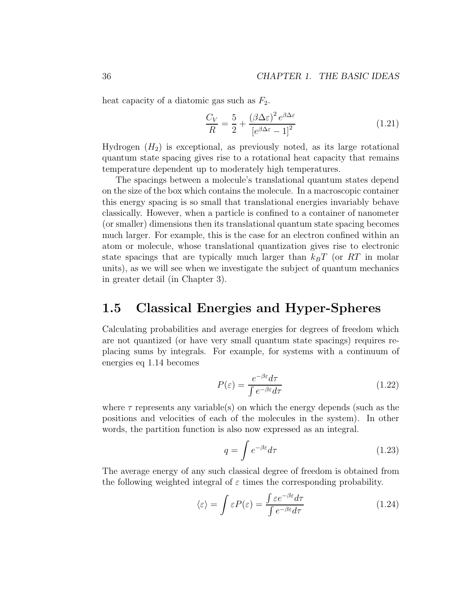heat capacity of a diatomic gas such as  $F_2$ .

$$
\frac{C_V}{R} = \frac{5}{2} + \frac{(\beta \Delta \varepsilon)^2 e^{\beta \Delta \varepsilon}}{[e^{\beta \Delta \varepsilon} - 1]^2}
$$
(1.21)

Hydrogen  $(H_2)$  is exceptional, as previously noted, as its large rotational quantum state spacing gives rise to a rotational heat capacity that remains temperature dependent up to moderately high temperatures.

The spacings between a molecule's translational quantum states depend on the size of the box which contains the molecule. In a macroscopic container this energy spacing is so small that translational energies invariably behave classically. However, when a particle is confined to a container of nanometer (or smaller) dimensions then its translational quantum state spacing becomes much larger. For example, this is the case for an electron confined within an atom or molecule, whose translational quantization gives rise to electronic state spacings that are typically much larger than  $k_BT$  (or RT in molar units), as we will see when we investigate the subject of quantum mechanics in greater detail (in Chapter 3).

# **1.5 Classical Energies and Hyper-Spheres**

Calculating probabilities and average energies for degrees of freedom which are not quantized (or have very small quantum state spacings) requires replacing sums by integrals. For example, for systems with a continuum of energies eq 1.14 becomes

$$
P(\varepsilon) = \frac{e^{-\beta \varepsilon} d\tau}{\int e^{-\beta \varepsilon} d\tau}
$$
 (1.22)

where  $\tau$  represents any variable(s) on which the energy depends (such as the positions and velocities of each of the molecules in the system). In other words, the partition function is also now expressed as an integral.

$$
q = \int e^{-\beta \varepsilon} d\tau \tag{1.23}
$$

The average energy of any such classical degree of freedom is obtained from the following weighted integral of  $\varepsilon$  times the corresponding probability.

$$
\langle \varepsilon \rangle = \int \varepsilon P(\varepsilon) = \frac{\int \varepsilon e^{-\beta \varepsilon} d\tau}{\int e^{-\beta \varepsilon} d\tau}
$$
 (1.24)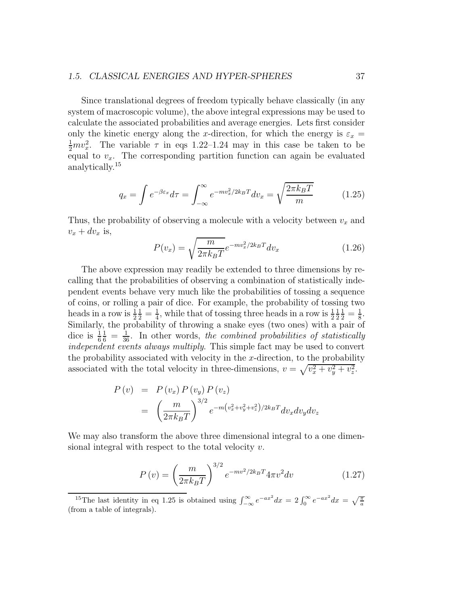#### 1.5. CLASSICAL ENERGIES AND HYPER-SPHERES 37

Since translational degrees of freedom typically behave classically (in any system of macroscopic volume), the above integral expressions may be used to calculate the associated probabilities and average energies. Lets first consider only the kinetic energy along the x-direction, for which the energy is  $\varepsilon_x$  =  $\frac{1}{2}mv_x^2$ . The variable  $\tau$  in eqs 1.22–1.24 may in this case be taken to be equal to  $v_x$ . The corresponding partition function can again be evaluated analytically.<sup>15</sup>

$$
q_x = \int e^{-\beta \varepsilon_x} d\tau = \int_{-\infty}^{\infty} e^{-mv_x^2/2k_B T} dv_x = \sqrt{\frac{2\pi k_B T}{m}} \tag{1.25}
$$

Thus, the probability of observing a molecule with a velocity between  $v_x$  and  $v_x + dv_x$  is,

$$
P(v_x) = \sqrt{\frac{m}{2\pi k_B T}} e^{-mv_x^2/2k_B T} dv_x
$$
 (1.26)

The above expression may readily be extended to three dimensions by recalling that the probabilities of observing a combination of statistically independent events behave very much like the probabilities of tossing a sequence of coins, or rolling a pair of dice. For example, the probability of tossing two heads in a row is  $\frac{1}{2}$  $\frac{1}{2} = \frac{1}{4}$ , while that of tossing three heads in a row is  $\frac{1}{2}$ 1 2  $\frac{1}{2} = \frac{1}{8}.$ Similarly, the probability of throwing a snake eyes (two ones) with a pair of dice is  $\frac{1}{6}$  $\frac{1}{6} = \frac{1}{36}$ . In other words, the combined probabilities of statistically independent events always multiply. This simple fact may be used to convert the probability associated with velocity in the x-direction, to the probability associated with the total velocity in three-dimensions,  $v = \sqrt{v_x^2 + v_y^2 + v_z^2}$ .

$$
P(v) = P(v_x) P(v_y) P(v_z)
$$
  
= 
$$
\left(\frac{m}{2\pi k_B T}\right)^{3/2} e^{-m(v_x^2 + v_y^2 + v_z^2)/2k_B T} dv_x dv_y dv_z
$$

We may also transform the above three dimensional integral to a one dimensional integral with respect to the total velocity  $v$ .

$$
P(v) = \left(\frac{m}{2\pi k_B T}\right)^{3/2} e^{-mv^2/2k_B T} 4\pi v^2 dv
$$
 (1.27)

<sup>&</sup>lt;sup>15</sup>The last identity in eq 1.25 is obtained using  $\int_{-\infty}^{\infty} e^{-ax^2} dx = 2 \int_{0}^{\infty} e^{-ax^2} dx = \sqrt{\frac{\pi}{a}}$ (from a table of integrals).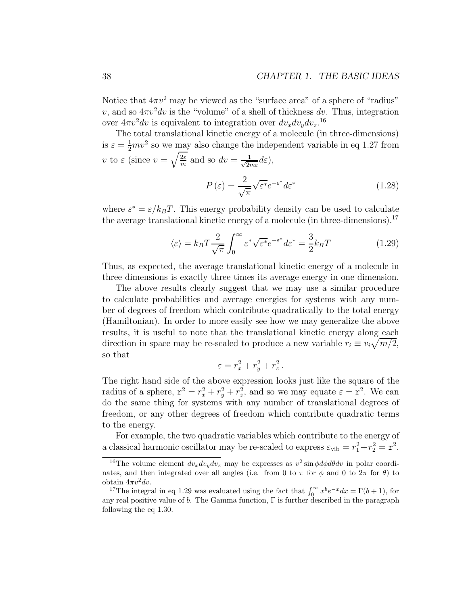Notice that  $4\pi v^2$  may be viewed as the "surface area" of a sphere of "radius" v, and so  $4\pi v^2 dv$  is the "volume" of a shell of thickness dv. Thus, integration over  $4\pi v^2 dv$  is equivalent to integration over  $dv_x dv_y dv_z$ .<sup>16</sup>

The total translational kinetic energy of a molecule (in three-dimensions) is  $\varepsilon = \frac{1}{2}mv^2$  so we may also change the independent variable in eq 1.27 from v to  $\varepsilon$  (since  $v = \sqrt{\frac{2\varepsilon}{m}}$  and so  $dv = \frac{1}{\sqrt{2m\varepsilon}}d\varepsilon$ ),

$$
P\left(\varepsilon\right) = \frac{2}{\sqrt{\pi}}\sqrt{\varepsilon^*}e^{-\varepsilon^*}d\varepsilon^*
$$
\n(1.28)

where  $\varepsilon^* = \varepsilon / k_B T$ . This energy probability density can be used to calculate the average translational kinetic energy of a molecule (in three-dimensions).<sup>17</sup>

$$
\langle \varepsilon \rangle = k_B T \frac{2}{\sqrt{\pi}} \int_0^\infty \varepsilon^* \sqrt{\varepsilon^*} e^{-\varepsilon^*} d\varepsilon^* = \frac{3}{2} k_B T \tag{1.29}
$$

Thus, as expected, the average translational kinetic energy of a molecule in three dimensions is exactly three times its average energy in one dimension.

The above results clearly suggest that we may use a similar procedure to calculate probabilities and average energies for systems with any number of degrees of freedom which contribute quadratically to the total energy (Hamiltonian). In order to more easily see how we may generalize the above results, it is useful to note that the translational kinetic energy along each direction in space may be re-scaled to produce a new variable  $r_i \equiv v_i \sqrt{m/2}$ , so that

$$
\varepsilon = r_x^2 + r_y^2 + r_z^2 \,.
$$

The right hand side of the above expression looks just like the square of the radius of a sphere,  $r^2 = r_x^2 + r_y^2 + r_z^2$ , and so we may equate  $\varepsilon = r^2$ . We can do the same thing for systems with any number of translational degrees of freedom, or any other degrees of freedom which contribute quadratic terms to the energy.

For example, the two quadratic variables which contribute to the energy of a classical harmonic oscillator may be re-scaled to express  $\varepsilon_{\rm vib} = r_1^2 + r_2^2 = \mathbf{r}^2$ .

<sup>&</sup>lt;sup>16</sup>The volume element  $dv_x dv_y dv_z$  may be expresses as  $v^2 \sin \phi d\phi d\theta dv$  in polar coordinates, and then integrated over all angles (i.e. from 0 to  $\pi$  for  $\phi$  and 0 to  $2\pi$  for  $\theta$ ) to obtain  $4\pi v^2 dv$ .

<sup>&</sup>lt;sup>17</sup>The integral in eq 1.29 was evaluated using the fact that  $\int_0^\infty x^b e^{-x} dx = \Gamma(b+1)$ , for any real positive value of b. The Gamma function, Γ is further described in the paragraph following the eq 1.30.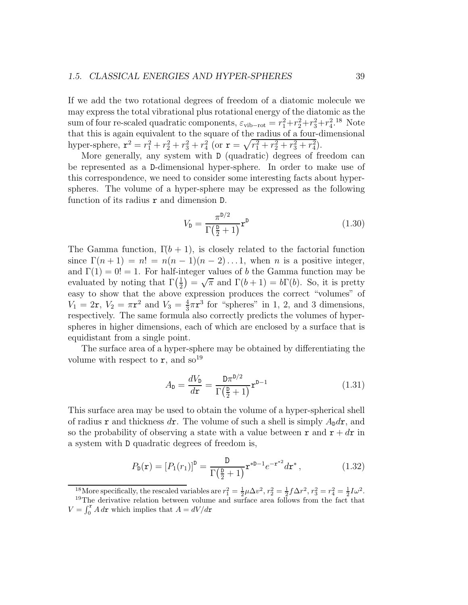#### 1.5. CLASSICAL ENERGIES AND HYPER-SPHERES 39

If we add the two rotational degrees of freedom of a diatomic molecule we may express the total vibrational plus rotational energy of the diatomic as the sum of four re-scaled quadratic components,  $\varepsilon_{\text{vib-rot}} = r_1^2 + r_2^2 + r_3^2 + r_4^2$ .<sup>18</sup> Note that this is again equivalent to the square of the radius of a four-dimensional hyper-sphere,  $\mathbf{r}^2 = r_1^2 + r_2^2 + r_3^2 + r_4^2$  (or  $\mathbf{r} = \sqrt{r_1^2 + r_2^2 + r_3^2 + r_4^2}$ ).

More generally, any system with  $D$  (quadratic) degrees of freedom can be represented as a D-dimensional hyper-sphere. In order to make use of this correspondence, we need to consider some interesting facts about hyperspheres. The volume of a hyper-sphere may be expressed as the following function of its radius r and dimension D.

$$
V_{\rm D} = \frac{\pi^{\rm D/2}}{\Gamma(\frac{\rm D}{2} + 1)} \mathbf{r}^{\rm D}
$$
 (1.30)

The Gamma function,  $\Gamma(b+1)$ , is closely related to the factorial function since  $\Gamma(n+1) = n! = n(n-1)(n-2)...1$ , when n is a positive integer, and  $\Gamma(1) = 0! = 1$ . For half-integer values of b the Gamma function may be evaluated by noting that  $\Gamma(\frac{1}{2})$  $\frac{1}{2}$ ) =  $\sqrt{\pi}$  and  $\Gamma(b+1) = b\Gamma(b)$ . So, it is pretty easy to show that the above expression produces the correct "volumes" of  $V_1 = 2\mathbf{r}, V_2 = \pi \mathbf{r}^2$  and  $V_3 = \frac{4}{3}\pi \mathbf{r}^3$  for "spheres" in 1, 2, and 3 dimensions, respectively. The same formula also correctly predicts the volumes of hyperspheres in higher dimensions, each of which are enclosed by a surface that is equidistant from a single point.

The surface area of a hyper-sphere may be obtained by differentiating the volume with respect to  $r$ , and so<sup>19</sup>

$$
A_{\rm D} = \frac{dV_{\rm D}}{d\mathbf{r}} = \frac{{\rm D}\pi^{{\rm D}/2}}{\Gamma(\frac{{\rm D}}{2} + 1)} \mathbf{r}^{{\rm D}-1}
$$
\n(1.31)

This surface area may be used to obtain the volume of a hyper-spherical shell of radius r and thickness dr. The volume of such a shell is simply  $A_{\rm p}d{\bf r}$ , and so the probability of observing a state with a value between r and  $\mathbf{r} + d\mathbf{r}$  in a system with D quadratic degrees of freedom is,

$$
P_{\mathsf{D}}(\mathbf{r}) = [P_1(r_1)]^{\mathsf{D}} = \frac{\mathsf{D}}{\Gamma(\frac{\mathsf{D}}{2} + 1)} \mathbf{r}^{*\mathsf{D} - 1} e^{-\mathbf{r}^{*\mathsf{2}}} d\mathbf{r}^*,
$$
(1.32)

<sup>&</sup>lt;sup>18</sup>More specifically, the rescaled variables are  $r_1^2 = \frac{1}{2}\mu\Delta v^2$ ,  $r_2^2 = \frac{1}{2}f\Delta r^2$ ,  $r_3^2 = r_4^2 = \frac{1}{2}I\omega^2$ .<br><sup>19</sup>The derivative relation between volume and surface area follows from the fact that

 $V = \int_0^{\mathbf{r}} A \, d\mathbf{r}$  which implies that  $A = dV/d\mathbf{r}$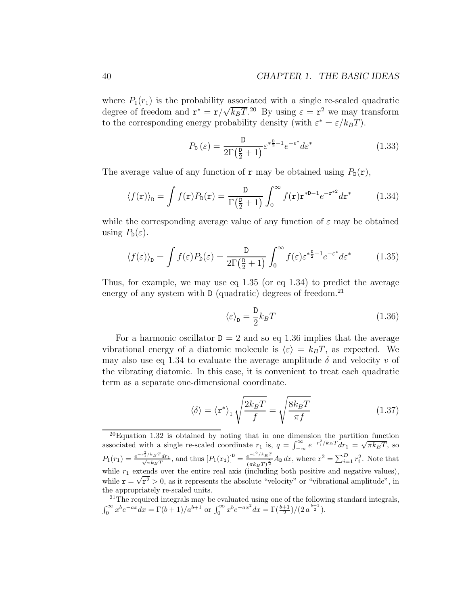where  $P_1(r_1)$  is the probability associated with a single re-scaled quadratic degree of freedom and  $\mathbf{r}^* = \mathbf{r}/\sqrt{k_B T}$ .<sup>20</sup> By using  $\varepsilon = \mathbf{r}^2$  we may transform to the corresponding energy probability density (with  $\varepsilon^* = \varepsilon / k_B T$ ).

$$
P_{\mathsf{D}}\left(\varepsilon\right) = \frac{\mathsf{D}}{2\Gamma\left(\frac{\mathsf{D}}{2} + 1\right)} \varepsilon^{*\frac{\mathsf{D}}{2} - 1} e^{-\varepsilon^*} d\varepsilon^* \tag{1.33}
$$

The average value of any function of r may be obtained using  $P_{\text{D}}(r)$ ,

$$
\langle f(\mathbf{r}) \rangle_{\mathbf{D}} = \int f(\mathbf{r}) P_{\mathbf{D}}(\mathbf{r}) = \frac{\mathbf{D}}{\Gamma(\frac{\mathbf{D}}{2} + 1)} \int_0^\infty f(\mathbf{r}) \mathbf{r}^{*\mathbf{D} - 1} e^{-\mathbf{r}^{*\mathbf{2}}} d\mathbf{r}^* \tag{1.34}
$$

while the corresponding average value of any function of  $\varepsilon$  may be obtained using  $P_{\mathsf{D}}(\varepsilon)$ .

$$
\langle f(\varepsilon) \rangle_{\mathbf{D}} = \int f(\varepsilon) P_{\mathbf{D}}(\varepsilon) = \frac{\mathbf{D}}{2\Gamma(\frac{\mathbf{D}}{2} + 1)} \int_0^\infty f(\varepsilon) \varepsilon^{*\frac{\mathbf{D}}{2} - 1} e^{-\varepsilon^*} d\varepsilon^* \tag{1.35}
$$

Thus, for example, we may use eq 1.35 (or eq 1.34) to predict the average energy of any system with  $D$  (quadratic) degrees of freedom.<sup>21</sup>

$$
\langle \varepsilon \rangle_{\text{D}} = \frac{\text{D}}{2} k_B T \tag{1.36}
$$

For a harmonic oscillator  $D = 2$  and so eq 1.36 implies that the average vibrational energy of a diatomic molecule is  $\langle \varepsilon \rangle = k_B T$ , as expected. We may also use eq 1.34 to evaluate the average amplitude  $\delta$  and velocity v of the vibrating diatomic. In this case, it is convenient to treat each quadratic term as a separate one-dimensional coordinate.

$$
\langle \delta \rangle = \langle \mathbf{r}^* \rangle_1 \sqrt{\frac{2k_B T}{f}} = \sqrt{\frac{8k_B T}{\pi f}}
$$
(1.37)

 $20$ Equation 1.32 is obtained by noting that in one dimension the partition function associated with a single re-scaled coordinate  $r_1$  is,  $q = \int_{-\infty}^{\infty} e^{-r_1^2/k_B T} dr_1 = \sqrt{\pi k_B T}$ , so  $P_1(r_1) = \frac{e^{-r_1^2/k_B T} dr_1}{\sqrt{\pi k_B T}}$ , and thus  $[P_1(\mathbf{r}_1)]^D = \frac{e^{-r^2/k_B T}}{(\pi k_B T)^{\frac{D}{2}}} A_{\text{D}} d\mathbf{r}$ , where  $\mathbf{r}^2 = \sum_{i=1}^D r_i^2$ . Note that while  $r_1$  extends over the entire real axis (including both positive and negative values), while  $\mathbf{r} = \sqrt{\mathbf{r}^2} > 0$ , as it represents the absolute "velocity" or "vibrational amplitude", in the appropriately re-scaled units.

 $21$ The required integrals may be evaluated using one of the following standard integrals,  $\int_0^\infty x^b e^{-ax} dx = \Gamma(b+1)/a^{b+1}$  or  $\int_0^\infty x^b e^{-ax^2} dx = \Gamma(\frac{b+1}{2})/(2 a^{\frac{b+1}{2}}).$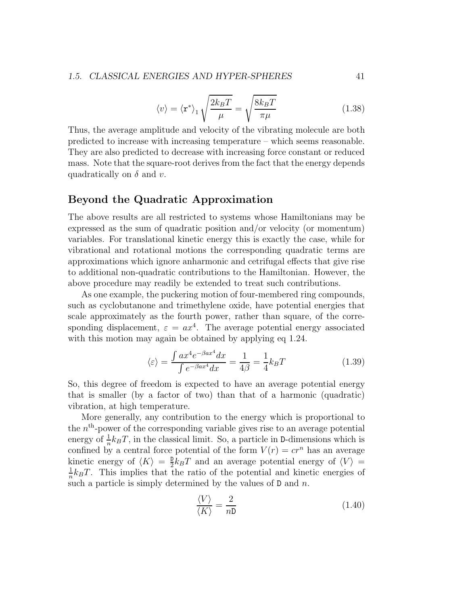$$
\langle v \rangle = \langle \mathbf{r}^* \rangle_1 \sqrt{\frac{2k_B T}{\mu}} = \sqrt{\frac{8k_B T}{\pi \mu}}
$$
(1.38)

Thus, the average amplitude and velocity of the vibrating molecule are both predicted to increase with increasing temperature – which seems reasonable. They are also predicted to decrease with increasing force constant or reduced mass. Note that the square-root derives from the fact that the energy depends quadratically on  $\delta$  and v.

## **Beyond the Quadratic Approximation**

The above results are all restricted to systems whose Hamiltonians may be expressed as the sum of quadratic position and/or velocity (or momentum) variables. For translational kinetic energy this is exactly the case, while for vibrational and rotational motions the corresponding quadratic terms are approximations which ignore anharmonic and cetrifugal effects that give rise to additional non-quadratic contributions to the Hamiltonian. However, the above procedure may readily be extended to treat such contributions.

As one example, the puckering motion of four-membered ring compounds, such as cyclobutanone and trimethylene oxide, have potential energies that scale approximately as the fourth power, rather than square, of the corresponding displacement,  $\varepsilon = ax^4$ . The average potential energy associated with this motion may again be obtained by applying eq 1.24.

$$
\langle \varepsilon \rangle = \frac{\int ax^4 e^{-\beta ax^4} dx}{\int e^{-\beta ax^4} dx} = \frac{1}{4\beta} = \frac{1}{4} k_B T \tag{1.39}
$$

So, this degree of freedom is expected to have an average potential energy that is smaller (by a factor of two) than that of a harmonic (quadratic) vibration, at high temperature.

More generally, any contribution to the energy which is proportional to the  $n<sup>th</sup>$ -power of the corresponding variable gives rise to an average potential energy of  $\frac{1}{n}k_BT$ , in the classical limit. So, a particle in D-dimensions which is confined by a central force potential of the form  $V(r) = cr^n$  has an average kinetic energy of  $\langle K \rangle = \frac{p}{2} k_B T$  and an average potential energy of  $\langle V \rangle = \frac{1}{2} k_B T$ . This implies that the ratio of the potential and kinetic energies of  $\frac{1}{n}k_BT$ . This implies that the ratio of the potential and kinetic energies of such a particle is simply determined by the values of  $D$  and n.

$$
\frac{\langle V \rangle}{\langle K \rangle} = \frac{2}{nD} \tag{1.40}
$$